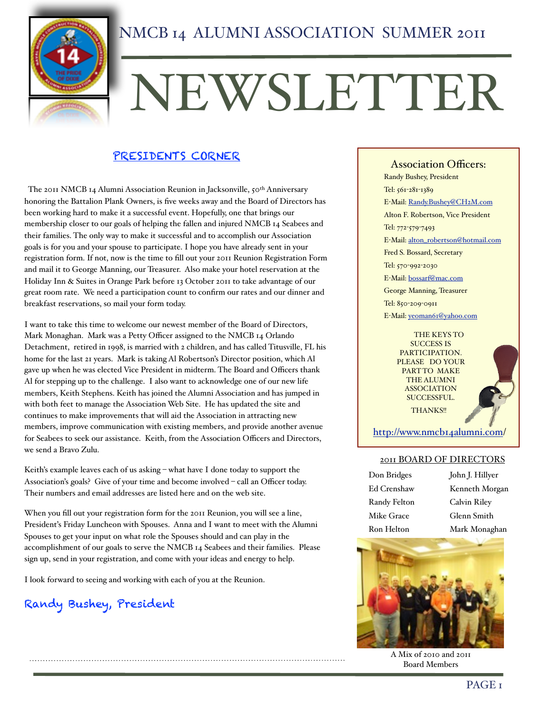

# NEWSLETTER

### PRESIDENTS CORNER

The 2011 NMCB 14 Alumni Association Reunion in Jacksonville, 50<sup>th</sup> Anniversary honoring the Battalion Plank Owners, is five weeks away and the Board of Directors has been working hard to make it a successful event. Hopefully, one that brings our membership closer to our goals of helping the fallen and injured NMCB 14 Seabees and their families. The only way to make it successful and to accomplish our Association goals is for you and your spouse to participate. I hope you have already sent in your registration form. If not, now is the time to fill out your 2011 Reunion Registration Form and mail it to George Manning, our Treasurer. Also make your hotel reservation at the Holiday Inn & Suites in Orange Park before 13 October 2011 to take advantage of our great room rate. We need a participation count to confirm our rates and our dinner and breakfast reservations, so mail your form today.

I want to take this time to welcome our newest member of the Board of Directors, Mark Monaghan. Mark was a Petty Officer assigned to the NMCB 14 Orlando Detachment, retired in 1998, is married with 2 children, and has called Titusville, FL his home for the last 21 years. Mark is taking Al Robertson's Director position, which Al gave up when he was elected Vice President in midterm. The Board and Officers thank Al for stepping up to the challenge. I also want to acknowledge one of our new life members, Keith Stephens. Keith has joined the Alumni Association and has jumped in with both feet to manage the Association Web Site. He has updated the site and continues to make improvements that will aid the Association in attracting new members, improve communication with existing members, and provide another avenue for Seabees to seek our assistance. Keith, from the Association Officers and Directors, we send a Bravo Zulu.

Keith's example leaves each of us asking – what have I done today to support the Association's goals? Give of your time and become involved – call an Officer today. Their numbers and email addresses are listed here and on the web site.

When you fill out your registration form for the 2011 Reunion, you will see a line, President's Friday Luncheon with Spouses. Anna and I want to meet with the Alumni Spouses to get your input on what role the Spouses should and can play in the accomplishment of our goals to serve the NMCB 14 Seabees and their families. Please sign up, send in your registration, and come with your ideas and energy to help.

I look forward to seeing and working with each of you at the Reunion.

### Randy Bushey, President

Association Officers: Randy Bushey, President Tel: 561-281-1389 E-Mail: [Randy.Bushey@CH2M.com](mailto:Randy.Bushey@CH2M.com) Alton F. Robertson, Vice President Tel: 772-579-7493 E-Mail: [alton\\_robertson@hotmail.com](mailto:alton_robertson@hotmail.com) Fred S. Bossard, Secretary Tel: 570-992-2030 E-Mail: [bossarf@mac.com](mailto:bossarf@mac.com) George Manning, Treasurer Tel: 850-209-0911 E-Mail: [yeoman61@yahoo.com](mailto:r.l.helton@att.net)

> THE KEYS TO SUCCESS IS PARTICIPATION. PLEASE DO YOUR PART TO MAKE THE ALUMNI ASSOCIATION SUCCESSFUL. THANKS!!



[http://www.nmcb14alumni.com/](http://www.nmcb14alumni.com)

### 2011 BOARD OF DIRECTORS

| Don Bridges  |
|--------------|
| Ed Crenshaw  |
| Randy Felton |
| Mike Grace   |
| Ron Helton   |

John J. Hillyer Kenneth Morgan Calvin Riley Glenn Smith Mark Monaghan



A Mix of 2010 and 2011 Board Members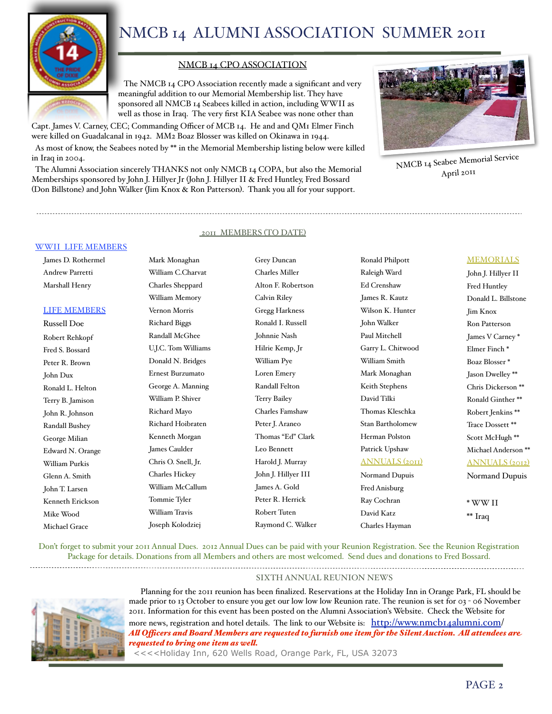

### NMCB 14 CPO ASSOCIATION

 The NMCB 14 CPO Association recently made a significant and very meaningful addition to our Memorial Membership list. They have sponsored all NMCB 14 Seabees killed in action, including WWII as well as those in Iraq. The very first KIA Seabee was none other than

Capt. James V. Carney, CEC; Commanding Officer of MCB 14. He and and QM1 Elmer Finch were killed on Guadalcanal in 1942. MM2 Boaz Blosser was killed on Okinawa in 1944.

 As most of know, the Seabees noted by \*\* in the Memorial Membership listing below were killed in Iraq in 2004.

 The Alumni Association sincerely THANKS not only NMCB 14 COPA, but also the Memorial Memberships sponsored by John J. Hillyer Jr (John J. Hillyer II & Fred Huntley, Fred Bossard (Don Billstone) and John Walker (Jim Knox & Ron Patterson). Thank you all for your support.



NMCB 14 Seabee Memorial Service April 2011

### 2011 MEMBERS (TO DATE)

#### WWII LIFE MEMBERS

James D. Rothermel Andrew Parretti Marshall Henry

#### LIFE MEMBERS

Russell Doe Robert Rehkopf Fred S. Bossard Peter R. Brown John Dux Ronald L. Helton Terry B. Jamison John R. Johnson Randall Bushey George Milian Edward N. Orange William Purkis Glenn A. Smith John T. Larsen Kenneth Erickson Mike Wood Michael Grace

William C.Charvat Charles Sheppard William Memory Vernon Morris Richard Biggs Randall McGhee U.J.C. Tom Williams Donald N. Bridges Ernest Burzumato George A. Manning William P. Shiver Richard Mayo Richard Hoibraten Kenneth Morgan James Caulder Chris O. Snell, Jr. Charles Hickey William McCallum Tommie Tyler William Travis Joseph Kolodziej

Mark Monaghan

Grey Duncan Charles Miller Alton F. Robertson Calvin Riley Gregg Harkness Ronald I. Russell Johnnie Nash Hilrie Kemp, Jr William Pye Loren Emery Randall Felton Terry Bailey Charles Famshaw Peter J. Araneo Thomas "Ed" Clark Leo Bennett Harold J. Murray John J. Hillyer III James A. Gold Peter R. Herrick Robert Tuten Raymond C. Walker Ronald Philpott Raleigh Ward Ed Crenshaw James R. Kautz Wilson K. Hunter John Walker Paul Mitchell Garry L. Chitwood William Smith Mark Monaghan Keith Stephens David Tilki Thomas Kleschka Stan Bartholomew Herman Polston Patrick Upshaw ANNUALS (2011) Normand Dupuis Fred Anisburg Ray Cochran

David Katz Charles Hayman

#### MEMORIALS

John J. Hillyer II Fred Huntley Donald L. Billstone Jim Knox Ron Patterson James V Carney \* Elmer Finch \* Boaz Blosser \* Jason Dwelley \*\* Chris Dickerson \*\* Ronald Ginther \*\* Robert Jenkins \*\* Trace Dossett \*\* Scott McHugh \*\* Michael Anderson \*\* ANNUALS (2012) Normand Dupuis

\* WW II \*\* Iraq

Don't forget to submit your 2011 Annual Dues. 2012 Annual Dues can be paid with your Reunion Registration. See the Reunion Registration Package for details. Donations from all Members and others are most welcomed. Send dues and donations to Fred Bossard.

SIXTH ANNUAL REUNION NEWS



Planning for the 2011 reunion has been finalized. Reservations at the Holiday Inn in Orange Park, FL should be made prior to 13 October to ensure you get our low low low Reunion rate. The reunion is set for 03 - 06 November 2011. Information for this event has been posted on the Alumni Association's Website. Check the Website for more news, registration and hotel details. The link to our Website is: [http://www.nmcb14alumni.com/](http://www.nmcb14alumni.com) *Al Ofcers and Board Members are requested to furnish one item for the Silent Auction. Al attendees are requested to bring one item as wel.*

<<<<Holiday Inn, 620 Wells Road, Orange Park, FL, USA 32073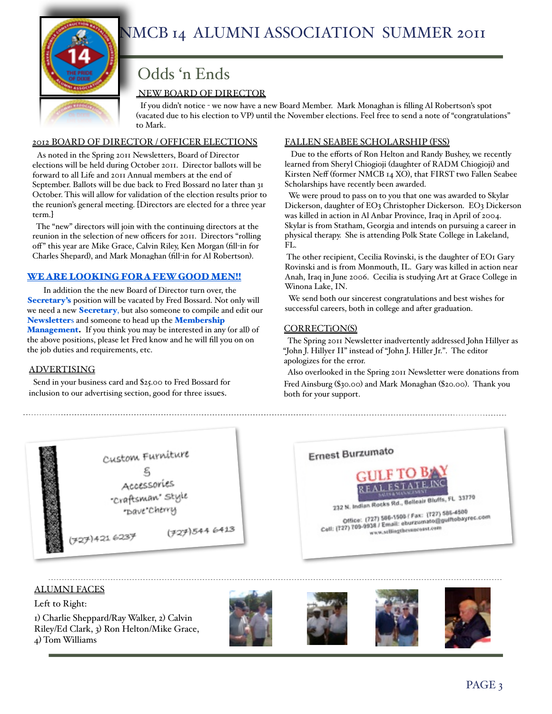

# Odds 'n Ends

### NEW BOARD OF DIRECTOR

 If you didn't notice - we now have a new Board Member. Mark Monaghan is filling Al Robertson's spot (vacated due to his election to VP) until the November elections. Feel free to send a note of "congratulations" to Mark.

### 2012 BOARD OF DIRECTOR / OFFICER ELECTIONS

 As noted in the Spring 2011 Newsletters, Board of Director elections will be held during October 2011. Director ballots will be forward to all Life and 2011 Annual members at the end of September. Ballots will be due back to Fred Bossard no later than 31 October. This will allow for validation of the election results prior to the reunion's general meeting. [Directors are elected for a three year term.]

 The "new" directors will join with the continuing directors at the reunion in the selection of new officers for 2011. Directors "rolling off" this year are Mike Grace, Calvin Riley, Ken Morgan (fill-in for Charles Shepard), and Mark Monaghan (fill-in for Al Robertson).

### WE ARE LOOKING FOR A FEW GOOD MEN!!

In addition the the new Board of Director turn over, the Secretary's position will be vacated by Fred Bossard. Not only will we need a new **Secretary**, but also someone to compile and edit our Newsletters and someone to head up the Membership **Management.** If you think you may be interested in any (or all) of the above positions, please let Fred know and he will fill you on on the job duties and requirements, etc.

### ADVERTISING

 Send in your business card and \$25.00 to Fred Bossard for inclusion to our advertising section, good for three issues.

### FALLEN SEABEE SCHOLARSHIP (FSS)

 Due to the efforts of Ron Helton and Randy Bushey, we recently learned from Sheryl Chiogioji (daughter of RADM Chiogioji) and Kirsten Neff (former NMCB 14 XO), that FIRST two Fallen Seabee Scholarships have recently been awarded.

 We were proud to pass on to you that one was awarded to Skylar Dickerson, daughter of EO3 Christopher Dickerson. EO3 Dickerson was killed in action in Al Anbar Province, Iraq in April of 2004. Skylar is from Statham, Georgia and intends on pursuing a career in physical therapy. She is attending Polk State College in Lakeland, FL.

The other recipient, Cecilia Rovinski, is the daughter of EO1 Gary Rovinski and is from Monmouth, IL. Gary was killed in action near Anah, Iraq in June 2006. Cecilia is studying Art at Grace College in Winona Lake, IN.

 We send both our sincerest congratulations and best wishes for successful careers, both in college and after graduation.

### CORRECTiON(S)

 The Spring 2011 Newsletter inadvertently addressed John Hillyer as "John J. Hillyer II" instead of "John J. Hiller Jr.". The editor apologizes for the error.

 Also overlooked in the Spring 2011 Newsletter were donations from Fred Ainsburg (\$30.00) and Mark Monaghan (\$20.00). Thank you both for your support.





### ALUMNI FACES

Left to Right:

1) Charlie Sheppard/Ray Walker, 2) Calvin Riley/Ed Clark, 3) Ron Helton/Mike Grace, 4) Tom Williams







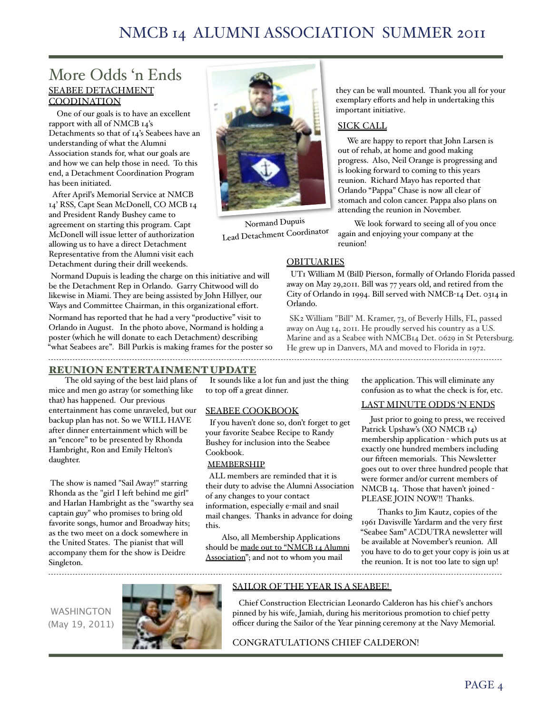### More Odds 'n Ends SEABEE DETACHMENT **COODINATION**

 One of our goals is to have an excellent rapport with all of NMCB 14's Detachments so that of 14's Seabees have an understanding of what the Alumni Association stands for, what our goals are and how we can help those in need. To this end, a Detachment Coordination Program has been initiated.

 After April's Memorial Service at NMCB 14' RSS, Capt Sean McDonell, CO MCB 14 and President Randy Bushey came to agreement on starting this program. Capt McDonell will issue letter of authorization allowing us to have a direct Detachment Representative from the Alumni visit each Detachment during their drill weekends.

 Normand Dupuis is leading the charge on this initiative and will be the Detachment Rep in Orlando. Garry Chitwood will do likewise in Miami. They are being assisted by John Hillyer, our Ways and Committee Chairman, in this organizational effort. Normand has reported that he had a very "productive" visit to Orlando in August. In the photo above, Normand is holding a poster (which he will donate to each Detachment) describing "what Seabees are". Bill Purkis is making frames for the poster so



Normand Dupuis Lead Detachment Coordinator they can be wall mounted. Thank you all for your exemplary efforts and help in undertaking this important initiative.

### SICK CALL

 We are happy to report that John Larsen is out of rehab, at home and good making progress. Also, Neil Orange is progressing and is looking forward to coming to this years reunion. Richard Mayo has reported that Orlando "Pappa" Chase is now all clear of stomach and colon cancer. Pappa also plans on attending the reunion in November.

We look forward to seeing all of you once again and enjoying your company at the reunion!

### **OBITUARIES**

 UT1 William M (Bill) Pierson, formally of Orlando Florida passed away on May 29,2011. Bill was 77 years old, and retired from the City of Orlando in 1994. Bill served with NMCB-14 Det. 0314 in Orlando.

SK2 William "Bill" M. Kramer, 73, of Beverly Hills, FL, passed away on Aug 14, 2011. He proudly served his country as a U.S. Marine and as a Seabee with NMCB14 Det. 0629 in St Petersburg. He grew up in Danvers, MA and moved to Florida in 1972. 

### REUNION ENTERTAINMENT UPDATE

The old saying of the best laid plans of mice and men go astray (or something like that) has happened. Our previous entertainment has come unraveled, but our backup plan has not. So we WILL HAVE after dinner entertainment which will be an "encore" to be presented by Rhonda Hambright, Ron and Emily Helton's daughter.

 The show is named "Sail Away!" starring Rhonda as the "girl I left behind me girl" and Harlan Hambright as the "swarthy sea captain guy" who promises to bring old favorite songs, humor and Broadway hits; as the two meet on a dock somewhere in the United States. The pianist that will accompany them for the show is Deidre Singleton.

 It sounds like a lot fun and just the thing to top off a great dinner.

### SEABEE COOKBOOK

 If you haven't done so, don't forget to get your favorite Seabee Recipe to Randy Bushey for inclusion into the Seabee Cookbook.

#### MEMBERSHIP

 ALL members are reminded that it is their duty to advise the Alumni Association of any changes to your contact information, especially e-mail and snail mail changes. Thanks in advance for doing this.

Also, all Membership Applications should be made out to "NMCB 14 Alumni Association"; and not to whom you mail

the application. This will eliminate any confusion as to what the check is for, etc.

### LAST MINUTE ODDS 'N ENDS

 Just prior to going to press, we received Patrick Upshaw's (XO NMCB 14) membership application - which puts us at exactly one hundred members including our fifteen memorials. This Newsletter goes out to over three hundred people that were former and/or current members of NMCB 14. Those that haven't joined - PLEASE JOIN NOW!! Thanks.

Thanks to Jim Kautz, copies of the 1961 Davisville Yardarm and the very first "Seabee Sam" ACDUTRA newsletter will be available at November's reunion. All you have to do to get your copy is join us at the reunion. It is not too late to sign up!

WASHINGTON (May 19, 2011)



#### SAILOR OF THE YEAR IS A SEABEE!

 Chief Construction Electrician Leonardo Calderon has his chief's anchors pinned by his wife, Jamiah, during his meritorious promotion to chief petty officer during the Sailor of the Year pinning ceremony at the Navy Memorial.

### CONGRATULATIONS CHIEF CALDERON!